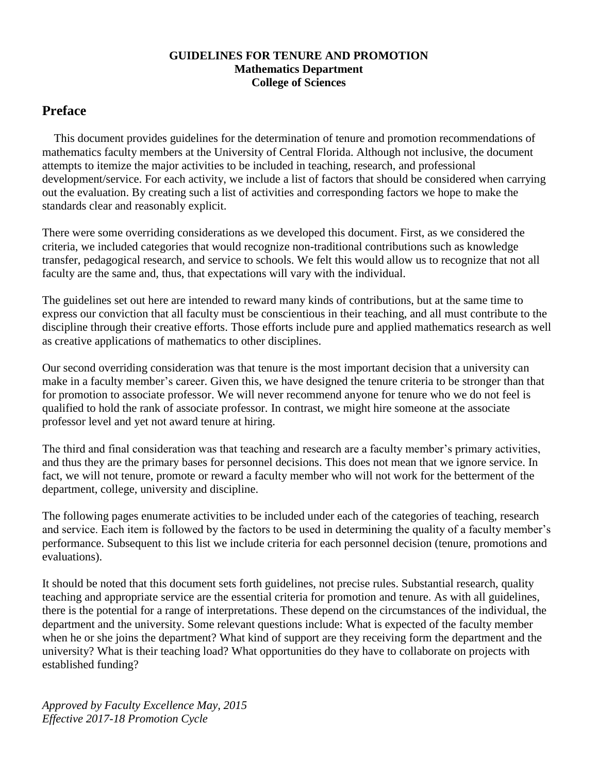# **GUIDELINES FOR TENURE AND PROMOTION Mathematics Department College of Sciences**

# **Preface**

 This document provides guidelines for the determination of tenure and promotion recommendations of mathematics faculty members at the University of Central Florida. Although not inclusive, the document attempts to itemize the major activities to be included in teaching, research, and professional development/service. For each activity, we include a list of factors that should be considered when carrying out the evaluation. By creating such a list of activities and corresponding factors we hope to make the standards clear and reasonably explicit.

There were some overriding considerations as we developed this document. First, as we considered the criteria, we included categories that would recognize non-traditional contributions such as knowledge transfer, pedagogical research, and service to schools. We felt this would allow us to recognize that not all faculty are the same and, thus, that expectations will vary with the individual.

The guidelines set out here are intended to reward many kinds of contributions, but at the same time to express our conviction that all faculty must be conscientious in their teaching, and all must contribute to the discipline through their creative efforts. Those efforts include pure and applied mathematics research as well as creative applications of mathematics to other disciplines.

Our second overriding consideration was that tenure is the most important decision that a university can make in a faculty member's career. Given this, we have designed the tenure criteria to be stronger than that for promotion to associate professor. We will never recommend anyone for tenure who we do not feel is qualified to hold the rank of associate professor. In contrast, we might hire someone at the associate professor level and yet not award tenure at hiring.

The third and final consideration was that teaching and research are a faculty member's primary activities, and thus they are the primary bases for personnel decisions. This does not mean that we ignore service. In fact, we will not tenure, promote or reward a faculty member who will not work for the betterment of the department, college, university and discipline.

The following pages enumerate activities to be included under each of the categories of teaching, research and service. Each item is followed by the factors to be used in determining the quality of a faculty member's performance. Subsequent to this list we include criteria for each personnel decision (tenure, promotions and evaluations).

It should be noted that this document sets forth guidelines, not precise rules. Substantial research, quality teaching and appropriate service are the essential criteria for promotion and tenure. As with all guidelines, there is the potential for a range of interpretations. These depend on the circumstances of the individual, the department and the university. Some relevant questions include: What is expected of the faculty member when he or she joins the department? What kind of support are they receiving form the department and the university? What is their teaching load? What opportunities do they have to collaborate on projects with established funding?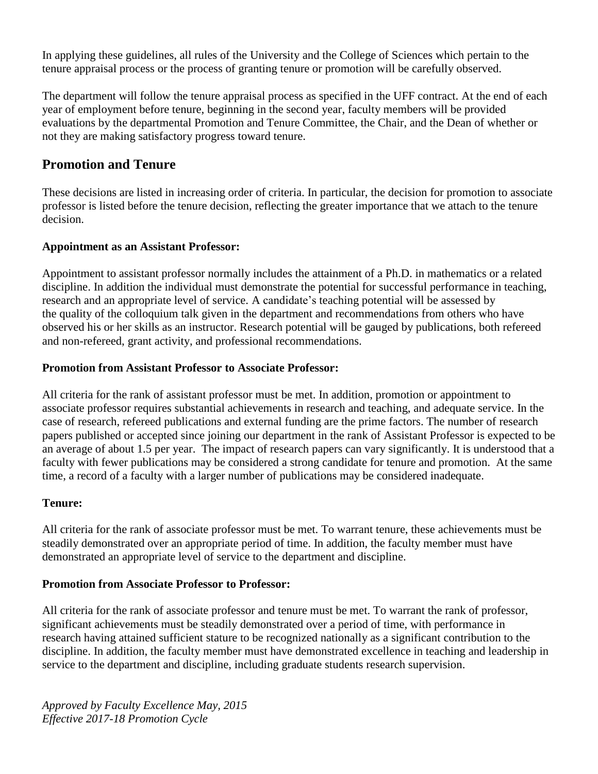In applying these guidelines, all rules of the University and the College of Sciences which pertain to the tenure appraisal process or the process of granting tenure or promotion will be carefully observed.

The department will follow the tenure appraisal process as specified in the UFF contract. At the end of each year of employment before tenure, beginning in the second year, faculty members will be provided evaluations by the departmental Promotion and Tenure Committee, the Chair, and the Dean of whether or not they are making satisfactory progress toward tenure.

# **Promotion and Tenure**

These decisions are listed in increasing order of criteria. In particular, the decision for promotion to associate professor is listed before the tenure decision, reflecting the greater importance that we attach to the tenure decision.

# **Appointment as an Assistant Professor:**

Appointment to assistant professor normally includes the attainment of a Ph.D. in mathematics or a related discipline. In addition the individual must demonstrate the potential for successful performance in teaching, research and an appropriate level of service. A candidate's teaching potential will be assessed by the quality of the colloquium talk given in the department and recommendations from others who have observed his or her skills as an instructor. Research potential will be gauged by publications, both refereed and non-refereed, grant activity, and professional recommendations.

# **Promotion from Assistant Professor to Associate Professor:**

All criteria for the rank of assistant professor must be met. In addition, promotion or appointment to associate professor requires substantial achievements in research and teaching, and adequate service. In the case of research, refereed publications and external funding are the prime factors. The number of research papers published or accepted since joining our department in the rank of Assistant Professor is expected to be an average of about 1.5 per year. The impact of research papers can vary significantly. It is understood that a faculty with fewer publications may be considered a strong candidate for tenure and promotion. At the same time, a record of a faculty with a larger number of publications may be considered inadequate.

# **Tenure:**

All criteria for the rank of associate professor must be met. To warrant tenure, these achievements must be steadily demonstrated over an appropriate period of time. In addition, the faculty member must have demonstrated an appropriate level of service to the department and discipline.

# **Promotion from Associate Professor to Professor:**

All criteria for the rank of associate professor and tenure must be met. To warrant the rank of professor, significant achievements must be steadily demonstrated over a period of time, with performance in research having attained sufficient stature to be recognized nationally as a significant contribution to the discipline. In addition, the faculty member must have demonstrated excellence in teaching and leadership in service to the department and discipline, including graduate students research supervision.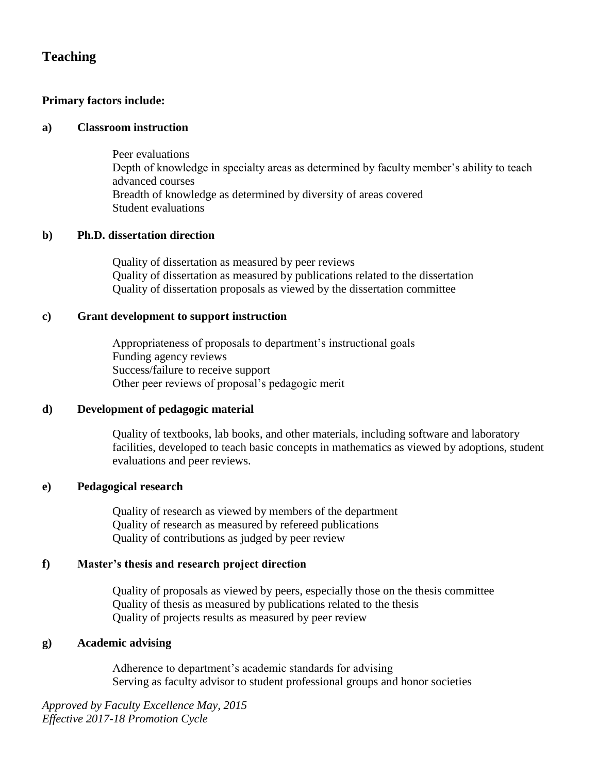# **Teaching**

# **Primary factors include:**

## **a) Classroom instruction**

Peer evaluations Depth of knowledge in specialty areas as determined by faculty member's ability to teach advanced courses Breadth of knowledge as determined by diversity of areas covered Student evaluations

# **b) Ph.D. dissertation direction**

Quality of dissertation as measured by peer reviews Quality of dissertation as measured by publications related to the dissertation Quality of dissertation proposals as viewed by the dissertation committee

# **c) Grant development to support instruction**

Appropriateness of proposals to department's instructional goals Funding agency reviews Success/failure to receive support Other peer reviews of proposal's pedagogic merit

# **d) Development of pedagogic material**

Quality of textbooks, lab books, and other materials, including software and laboratory facilities, developed to teach basic concepts in mathematics as viewed by adoptions, student evaluations and peer reviews.

# **e) Pedagogical research**

Quality of research as viewed by members of the department Quality of research as measured by refereed publications Quality of contributions as judged by peer review

# **f) Master's thesis and research project direction**

Quality of proposals as viewed by peers, especially those on the thesis committee Quality of thesis as measured by publications related to the thesis Quality of projects results as measured by peer review

# **g) Academic advising**

Adherence to department's academic standards for advising Serving as faculty advisor to student professional groups and honor societies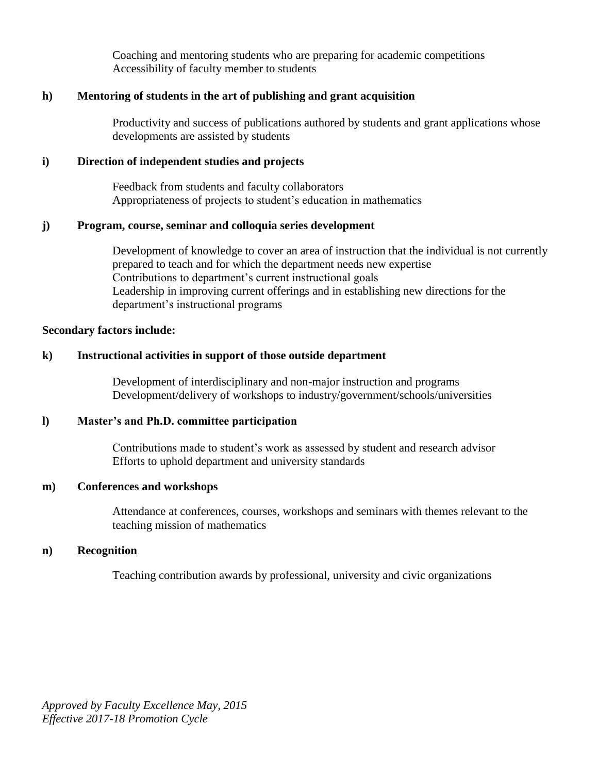Coaching and mentoring students who are preparing for academic competitions Accessibility of faculty member to students

## **h) Mentoring of students in the art of publishing and grant acquisition**

Productivity and success of publications authored by students and grant applications whose developments are assisted by students

## **i) Direction of independent studies and projects**

Feedback from students and faculty collaborators Appropriateness of projects to student's education in mathematics

#### **j) Program, course, seminar and colloquia series development**

Development of knowledge to cover an area of instruction that the individual is not currently prepared to teach and for which the department needs new expertise Contributions to department's current instructional goals Leadership in improving current offerings and in establishing new directions for the department's instructional programs

#### **Secondary factors include:**

## **k) Instructional activities in support of those outside department**

Development of interdisciplinary and non-major instruction and programs Development/delivery of workshops to industry/government/schools/universities

#### **l) Master's and Ph.D. committee participation**

Contributions made to student's work as assessed by student and research advisor Efforts to uphold department and university standards

#### **m) Conferences and workshops**

Attendance at conferences, courses, workshops and seminars with themes relevant to the teaching mission of mathematics

#### **n) Recognition**

Teaching contribution awards by professional, university and civic organizations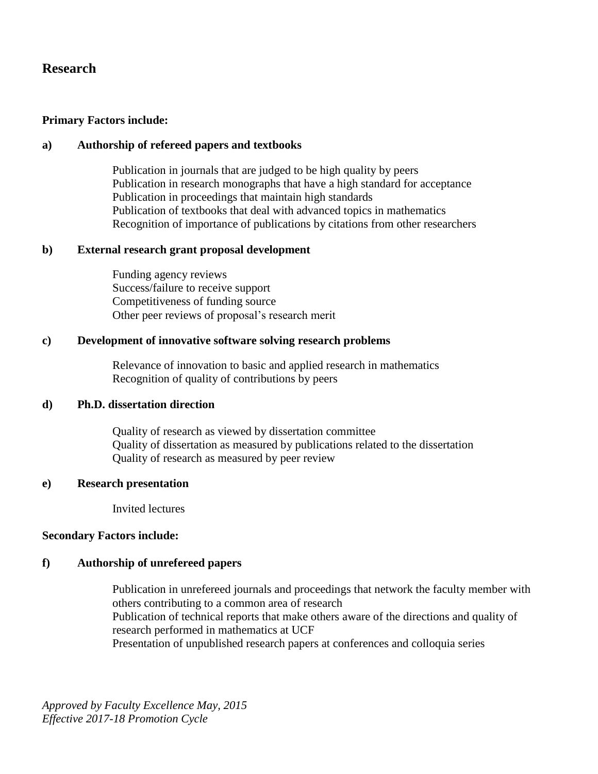# **Research**

## **Primary Factors include:**

## **a) Authorship of refereed papers and textbooks**

Publication in journals that are judged to be high quality by peers Publication in research monographs that have a high standard for acceptance Publication in proceedings that maintain high standards Publication of textbooks that deal with advanced topics in mathematics Recognition of importance of publications by citations from other researchers

## **b) External research grant proposal development**

Funding agency reviews Success/failure to receive support Competitiveness of funding source Other peer reviews of proposal's research merit

## **c) Development of innovative software solving research problems**

Relevance of innovation to basic and applied research in mathematics Recognition of quality of contributions by peers

## **d) Ph.D. dissertation direction**

Quality of research as viewed by dissertation committee Quality of dissertation as measured by publications related to the dissertation Quality of research as measured by peer review

## **e) Research presentation**

Invited lectures

## **Secondary Factors include:**

# **f) Authorship of unrefereed papers**

Publication in unrefereed journals and proceedings that network the faculty member with others contributing to a common area of research Publication of technical reports that make others aware of the directions and quality of research performed in mathematics at UCF Presentation of unpublished research papers at conferences and colloquia series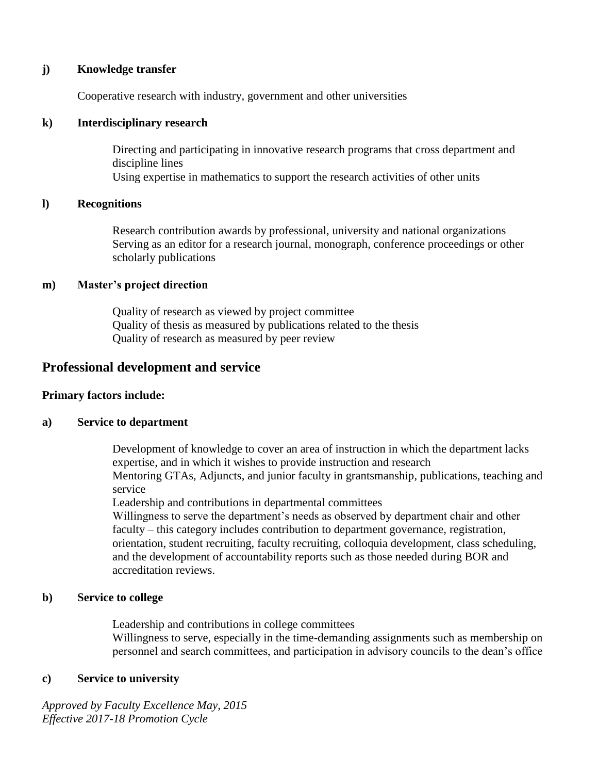### **j) Knowledge transfer**

Cooperative research with industry, government and other universities

## **k) Interdisciplinary research**

Directing and participating in innovative research programs that cross department and discipline lines Using expertise in mathematics to support the research activities of other units

## **l) Recognitions**

Research contribution awards by professional, university and national organizations Serving as an editor for a research journal, monograph, conference proceedings or other scholarly publications

## **m) Master's project direction**

Quality of research as viewed by project committee Quality of thesis as measured by publications related to the thesis Quality of research as measured by peer review

# **Professional development and service**

## **Primary factors include:**

## **a) Service to department**

Development of knowledge to cover an area of instruction in which the department lacks expertise, and in which it wishes to provide instruction and research Mentoring GTAs, Adjuncts, and junior faculty in grantsmanship, publications, teaching and service

Leadership and contributions in departmental committees

Willingness to serve the department's needs as observed by department chair and other faculty – this category includes contribution to department governance, registration, orientation, student recruiting, faculty recruiting, colloquia development, class scheduling, and the development of accountability reports such as those needed during BOR and accreditation reviews.

## **b) Service to college**

Leadership and contributions in college committees

Willingness to serve, especially in the time-demanding assignments such as membership on personnel and search committees, and participation in advisory councils to the dean's office

## **c) Service to university**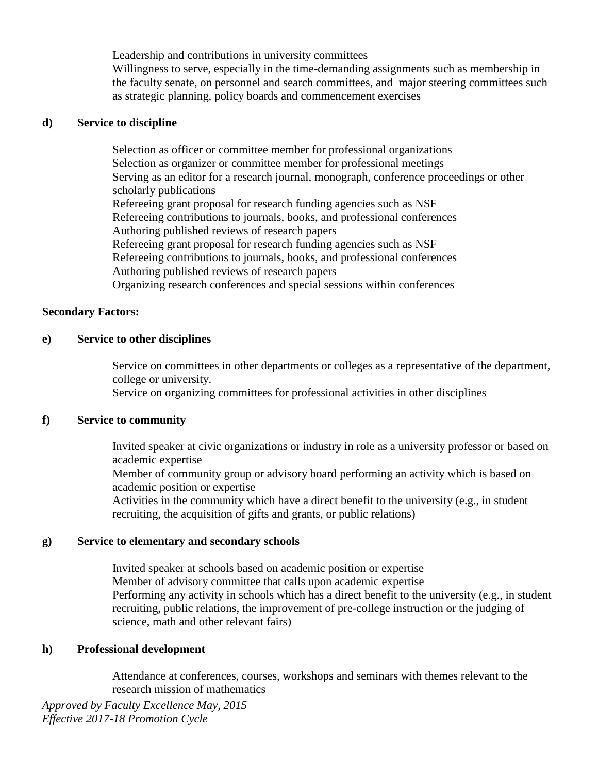Leadership and contributions in university committees

Willingness to serve, especially in the time-demanding assignments such as membership in the faculty senate, on personnel and search committees, and major steering committees such as strategic planning, policy boards and commencement exercises

#### **d) Service to discipline**

Selection as officer or committee member for professional organizations Selection as organizer or committee member for professional meetings Serving as an editor for a research journal, monograph, conference proceedings or other scholarly publications Refereeing grant proposal for research funding agencies such as NSF Refereeing contributions to journals, books, and professional conferences Authoring published reviews of research papers Refereeing grant proposal for research funding agencies such as NSF Refereeing contributions to journals, books, and professional conferences Authoring published reviews of research papers Organizing research conferences and special sessions within conferences

#### **Secondary Factors:**

#### **e) Service to other disciplines**

Service on committees in other departments or colleges as a representative of the department, college or university.

Service on organizing committees for professional activities in other disciplines

#### **f) Service to community**

Invited speaker at civic organizations or industry in role as a university professor or based on academic expertise

Member of community group or advisory board performing an activity which is based on academic position or expertise

Activities in the community which have a direct benefit to the university (e.g., in student recruiting, the acquisition of gifts and grants, or public relations)

#### **g) Service to elementary and secondary schools**

Invited speaker at schools based on academic position or expertise Member of advisory committee that calls upon academic expertise Performing any activity in schools which has a direct benefit to the university (e.g., in student recruiting, public relations, the improvement of pre-college instruction or the judging of science, math and other relevant fairs)

## **h) Professional development**

Attendance at conferences, courses, workshops and seminars with themes relevant to the research mission of mathematics